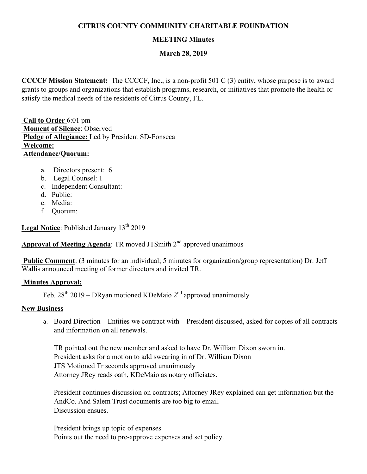# **CITRUS COUNTY COMMUNITY CHARITABLE FOUNDATION**

# **MEETING Minutes**

### **March 28, 2019**

**CCCCF Mission Statement:** The CCCCF, Inc., is a non-profit 501 C (3) entity, whose purpose is to award grants to groups and organizations that establish programs, research, or initiatives that promote the health or satisfy the medical needs of the residents of Citrus County, FL.

 **Call to Order** 6:01 pm  **Moment of Silence**: Observed **Pledge of Allegiance:** Led by President SD-Fonseca  **Welcome: Attendance/Quorum:** 

- a. Directors present: 6
- b. Legal Counsel: 1
- c. Independent Consultant:
- d. Public:
- e. Media:
- f. Quorum:

Legal Notice: Published January 13<sup>th</sup> 2019

# **Approval of Meeting Agenda:** TR moved JTSmith 2<sup>nd</sup> approved unanimous

 **Public Comment**: (3 minutes for an individual; 5 minutes for organization/group representation) Dr. Jeff Wallis announced meeting of former directors and invited TR.

### **Minutes Approval:**

Feb.  $28^{th}$  2019 – DRyan motioned KDeMaio  $2^{nd}$  approved unanimously

### **New Business**

a. Board Direction – Entities we contract with – President discussed, asked for copies of all contracts and information on all renewals.

TR pointed out the new member and asked to have Dr. William Dixon sworn in. President asks for a motion to add swearing in of Dr. William Dixon JTS Motioned Tr seconds approved unanimously Attorney JRey reads oath, KDeMaio as notary officiates.

President continues discussion on contracts; Attorney JRey explained can get information but the AndCo. And Salem Trust documents are too big to email. Discussion ensues.

President brings up topic of expenses Points out the need to pre-approve expenses and set policy.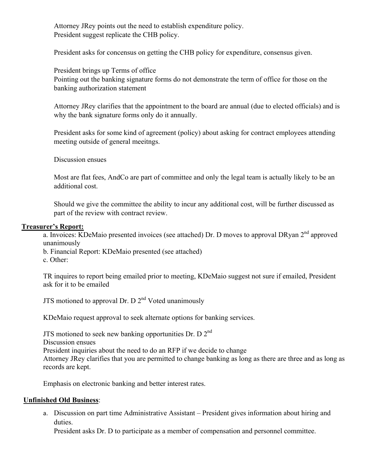Attorney JRey points out the need to establish expenditure policy. President suggest replicate the CHB policy.

President asks for concensus on getting the CHB policy for expenditure, consensus given.

President brings up Terms of office Pointing out the banking signature forms do not demonstrate the term of office for those on the banking authorization statement

Attorney JRey clarifies that the appointment to the board are annual (due to elected officials) and is why the bank signature forms only do it annually.

President asks for some kind of agreement (policy) about asking for contract employees attending meeting outside of general meeitngs.

Discussion ensues

Most are flat fees, AndCo are part of committee and only the legal team is actually likely to be an additional cost.

Should we give the committee the ability to incur any additional cost, will be further discussed as part of the review with contract review.

#### **Treasurer's Report:**

a. Invoices: KDeMaio presented invoices (see attached) Dr. D moves to approval DRyan 2<sup>nd</sup> approved unanimously

b. Financial Report: KDeMaio presented (see attached)

c. Other:

TR inquires to report being emailed prior to meeting, KDeMaio suggest not sure if emailed, President ask for it to be emailed

JTS motioned to approval Dr. D  $2<sup>nd</sup>$  Voted unanimously

KDeMaio request approval to seek alternate options for banking services.

JTS motioned to seek new banking opportunities Dr. D  $2<sup>nd</sup>$ 

Discussion ensues

President inquiries about the need to do an RFP if we decide to change

Attorney JRey clarifies that you are permitted to change banking as long as there are three and as long as records are kept.

Emphasis on electronic banking and better interest rates.

### **Unfinished Old Business**:

a. Discussion on part time Administrative Assistant – President gives information about hiring and duties.

President asks Dr. D to participate as a member of compensation and personnel committee.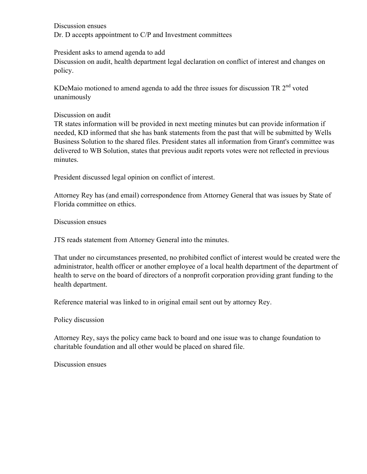Discussion ensues Dr. D accepts appointment to C/P and Investment committees

President asks to amend agenda to add

Discussion on audit, health department legal declaration on conflict of interest and changes on policy.

KDeMaio motioned to amend agenda to add the three issues for discussion TR  $2<sup>nd</sup>$  voted unanimously

Discussion on audit

TR states information will be provided in next meeting minutes but can provide information if needed, KD informed that she has bank statements from the past that will be submitted by Wells Business Solution to the shared files. President states all information from Grant's committee was delivered to WB Solution, states that previous audit reports votes were not reflected in previous minutes.

President discussed legal opinion on conflict of interest.

Attorney Rey has (and email) correspondence from Attorney General that was issues by State of Florida committee on ethics.

Discussion ensues

JTS reads statement from Attorney General into the minutes.

That under no circumstances presented, no prohibited conflict of interest would be created were the administrator, health officer or another employee of a local health department of the department of health to serve on the board of directors of a nonprofit corporation providing grant funding to the health department.

Reference material was linked to in original email sent out by attorney Rey.

Policy discussion

Attorney Rey, says the policy came back to board and one issue was to change foundation to charitable foundation and all other would be placed on shared file.

Discussion ensues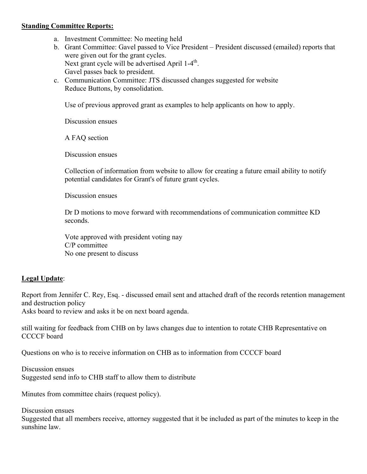#### **Standing Committee Reports:**

- a. Investment Committee: No meeting held
- b. Grant Committee: Gavel passed to Vice President President discussed (emailed) reports that were given out for the grant cycles. Next grant cycle will be advertised April 1-4<sup>th</sup>. Gavel passes back to president.
- c. Communication Committee: JTS discussed changes suggested for website Reduce Buttons, by consolidation.

Use of previous approved grant as examples to help applicants on how to apply.

Discussion ensues

A FAQ section

Discussion ensues

Collection of information from website to allow for creating a future email ability to notify potential candidates for Grant's of future grant cycles.

Discussion ensues

Dr D motions to move forward with recommendations of communication committee KD seconds.

Vote approved with president voting nay C/P committee No one present to discuss

# **Legal Update**:

Report from Jennifer C. Rey, Esq. - discussed email sent and attached draft of the records retention management and destruction policy

Asks board to review and asks it be on next board agenda.

still waiting for feedback from CHB on by laws changes due to intention to rotate CHB Representative on CCCCF board

Questions on who is to receive information on CHB as to information from CCCCF board

Discussion ensues Suggested send info to CHB staff to allow them to distribute

Minutes from committee chairs (request policy).

Discussion ensues Suggested that all members receive, attorney suggested that it be included as part of the minutes to keep in the sunshine law.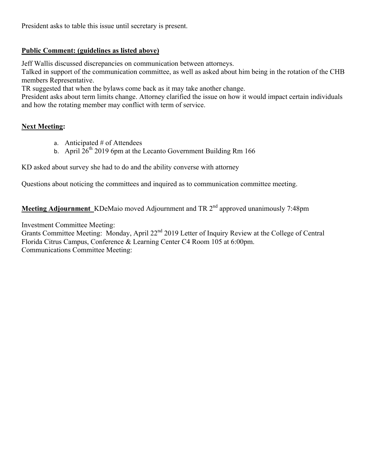President asks to table this issue until secretary is present.

# **Public Comment: (guidelines as listed above)**

Jeff Wallis discussed discrepancies on communication between attorneys.

Talked in support of the communication committee, as well as asked about him being in the rotation of the CHB members Representative.

TR suggested that when the bylaws come back as it may take another change.

President asks about term limits change. Attorney clarified the issue on how it would impact certain individuals and how the rotating member may conflict with term of service.

# **Next Meeting:**

- a. Anticipated # of Attendees
- b. April  $26^{th}$  2019 6pm at the Lecanto Government Building Rm 166

KD asked about survey she had to do and the ability converse with attorney

Questions about noticing the committees and inquired as to communication committee meeting.

**Meeting Adjournment** KDeMaio moved Adjournment and TR 2<sup>nd</sup> approved unanimously 7:48pm

Investment Committee Meeting:

Grants Committee Meeting: Monday, April 22<sup>nd</sup> 2019 Letter of Inquiry Review at the College of Central Florida Citrus Campus, Conference & Learning Center C4 Room 105 at 6:00pm. Communications Committee Meeting: